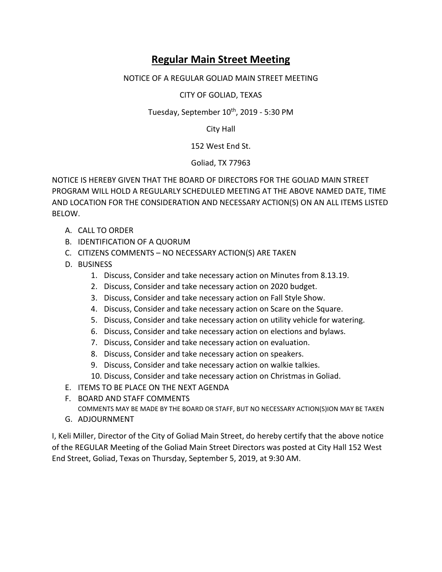## **Regular Main Street Meeting**

## NOTICE OF A REGULAR GOLIAD MAIN STREET MEETING

CITY OF GOLIAD, TEXAS

Tuesday, September 10<sup>th</sup>, 2019 - 5:30 PM

City Hall

152 West End St.

Goliad, TX 77963

NOTICE IS HEREBY GIVEN THAT THE BOARD OF DIRECTORS FOR THE GOLIAD MAIN STREET PROGRAM WILL HOLD A REGULARLY SCHEDULED MEETING AT THE ABOVE NAMED DATE, TIME AND LOCATION FOR THE CONSIDERATION AND NECESSARY ACTION(S) ON AN ALL ITEMS LISTED BELOW.

- A. CALL TO ORDER
- B. IDENTIFICATION OF A QUORUM
- C. CITIZENS COMMENTS NO NECESSARY ACTION(S) ARE TAKEN
- D. BUSINESS
	- 1. Discuss, Consider and take necessary action on Minutes from 8.13.19.
	- 2. Discuss, Consider and take necessary action on 2020 budget.
	- 3. Discuss, Consider and take necessary action on Fall Style Show.
	- 4. Discuss, Consider and take necessary action on Scare on the Square.
	- 5. Discuss, Consider and take necessary action on utility vehicle for watering.
	- 6. Discuss, Consider and take necessary action on elections and bylaws.
	- 7. Discuss, Consider and take necessary action on evaluation.
	- 8. Discuss, Consider and take necessary action on speakers.
	- 9. Discuss, Consider and take necessary action on walkie talkies.
	- 10. Discuss, Consider and take necessary action on Christmas in Goliad.
- E. ITEMS TO BE PLACE ON THE NEXT AGENDA
- F. BOARD AND STAFF COMMENTS

COMMENTS MAY BE MADE BY THE BOARD OR STAFF, BUT NO NECESSARY ACTION(S)ION MAY BE TAKEN

G. ADJOURNMENT

I, Keli Miller, Director of the City of Goliad Main Street, do hereby certify that the above notice of the REGULAR Meeting of the Goliad Main Street Directors was posted at City Hall 152 West End Street, Goliad, Texas on Thursday, September 5, 2019, at 9:30 AM.